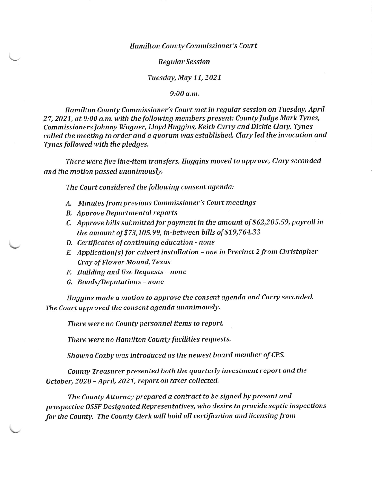## **Hamilton County Commissioner's Court**

## Regular Session

## Tuesday, May 11, 2021

9:00 o.m.

Hamilton County Commissioner's Court met in regular session on Tuesday, April 27, 2021, at 9:00 a.m. with the following members present: County Judge Mark Tynes, Commissioners Johnny Wagner, Lloyd Huggins, Keith Curry and Dickie Clary, Tynes called the meeting to order and a quorum was established. Clary led the invocation and Tynes followed with the pledges.

There were five line-item transfers. Huggins moved to approve, Clary seconded and the motion passed unanimously,

The Court considered the following consent agenda:

- A. Minutes from previous Commissioner's Court meetings
- B. Approve Departmental reports
- C. Approve bills submitted for payment in the amount of \$62,205.59, payroll in the amount of  $$73,105.99$ , in-between bills of  $$19,764.33$
- D. Certificates of continuing education none
- E. Application(s) for culvert installation one in Precinct 2 from Christopher Cray of Flower Mound, Texas
- F. Building and Use Requests none
- G. Bonds/Deputations none

Huggins made o motion to approve the consent agenda and Curry seconded. The Court approved the consent agenda unanimously,

There were no County personnel items to report.

There were no Hamilton County facilities requests.

Shawna Cozby was introduced as the newest board member of CPS.

County Treasurer presented both the quarterly investment report and the October, 2020 - April, 2021, report on taxes collected.

The County Attorney prepared a contract to be signed by present and prospective OSSF Designated Representatives, who desire to provide septic inspections for the County. The County Clerk wiII hold all certification and licensing from